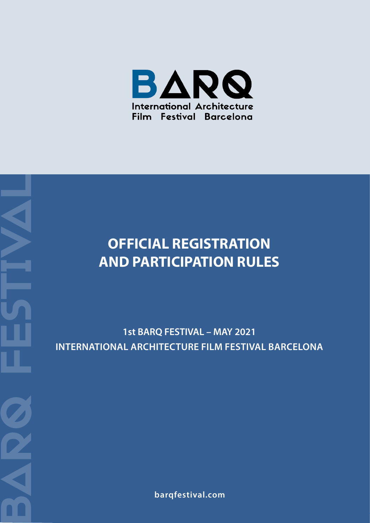

# **OFFICIAL REGISTRATION AND PARTICIPATION RULES** OFFICIAL REGISTRATIC<br>
AND PARTICIPATION RU<br>
1st BARQ FESTIVAL – MAY 2021<br>
INTERNATIONAL ARCHITECTURE FILM FESTIV<br>
Parqfestival.com

**INTERNATIONAL ARCHITECTURE FILM FESTIVAL BARCELONA**

BARQ FESTIVAL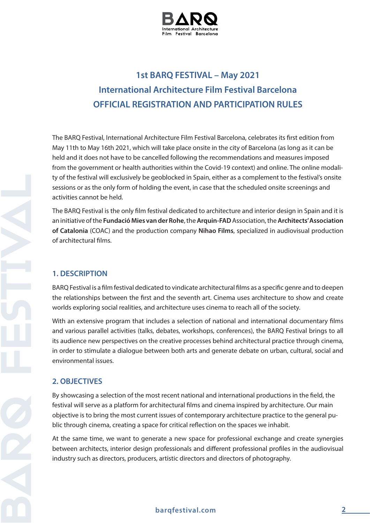

# **1st BARQ FESTIVAL – May 2021 International Architecture Film Festival Barcelona OFFICIAL REGISTRATION AND PARTICIPATION RULES**

The BARQ Festival, International Architecture Film Festival Barcelona, celebrates its first edition from May 11th to May 16th 2021, which will take place onsite in the city of Barcelona (as long as it can be held and it does not have to be cancelled following the recommendations and measures imposed from the government or health authorities within the Covid-19 context) and online. The online modality of the festival will exclusively be geoblocked in Spain, either as a complement to the festival's onsite sessions or as the only form of holding the event, in case that the scheduled onsite screenings and activities cannot be held.

The BARQ Festival is the only film festival dedicated to architecture and interior design in Spain and it is an initiative of the **Fundació Mies van der Rohe**, the **Arquin-FAD** Association, the **Architects' Association of Catalonia** (COAC) and the production company **Nihao Films**, specialized in audiovisual production of architectural films.

# **1. DESCRIPTION**

BARQ Festival is a film festival dedicated to vindicate architectural films as a specific genre and to deepen the relationships between the first and the seventh art. Cinema uses architecture to show and create worlds exploring social realities, and architecture uses cinema to reach all of the society.

With an extensive program that includes a selection of national and international documentary films and various parallel activities (talks, debates, workshops, conferences), the BARQ Festival brings to all its audience new perspectives on the creative processes behind architectural practice through cinema, in order to stimulate a dialogue between both arts and generate debate on urban, cultural, social and environmental issues.

#### **2. OBJECTIVES**

By showcasing a selection of the most recent national and international productions in the field, the festival will serve as a platform for architectural films and cinema inspired by architecture. Our main objective is to bring the most current issues of contemporary architecture practice to the general public through cinema, creating a space for critical reflection on the spaces we inhabit.

At the same time, we want to generate a new space for professional exchange and create synergies between architects, interior design professionals and different professional profiles in the audiovisual industry such as directors, producers, artistic directors and directors of photography.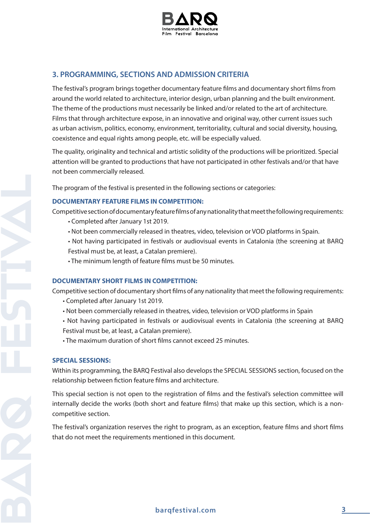

# **3. PROGRAMMING, SECTIONS AND ADMISSION CRITERIA**

The festival's program brings together documentary feature films and documentary short films from around the world related to architecture, interior design, urban planning and the built environment. The theme of the productions must necessarily be linked and/or related to the art of architecture. Films that through architecture expose, in an innovative and original way, other current issues such as urban activism, politics, economy, environment, territoriality, cultural and social diversity, housing, coexistence and equal rights among people, etc. will be especially valued.

The quality, originality and technical and artistic solidity of the productions will be prioritized. Special attention will be granted to productions that have not participated in other festivals and/or that have not been commercially released.

The program of the festival is presented in the following sections or categories:

#### **DOCUMENTARY FEATURE FILMS IN COMPETITION:**

Competitive section of documentary feature films of any nationality that meet the following requirements:

- Completed after January 1st 2019.
- Not been commercially released in theatres, video, television or VOD platforms in Spain.
- Not having participated in festivals or audiovisual events in Catalonia (the screening at BARQ Festival must be, at least, a Catalan premiere).
- The minimum length of feature films must be 50 minutes.

#### **DOCUMENTARY SHORT FILMS IN COMPETITION:**

Competitive section of documentary short films of any nationality that meet the following requirements:

- Completed after January 1st 2019.
- Not been commercially released in theatres, video, television or VOD platforms in Spain
- Not having participated in festivals or audiovisual events in Catalonia (the screening at BARQ Festival must be, at least, a Catalan premiere).
- The maximum duration of short films cannot exceed 25 minutes.

#### **SPECIAL SESSIONS:**

Within its programming, the BARQ Festival also develops the SPECIAL SESSIONS section, focused on the relationship between fiction feature films and architecture.

This special section is not open to the registration of films and the festival's selection committee will internally decide the works (both short and feature films) that make up this section, which is a noncompetitive section.

The festival's organization reserves the right to program, as an exception, feature films and short films that do not meet the requirements mentioned in this document.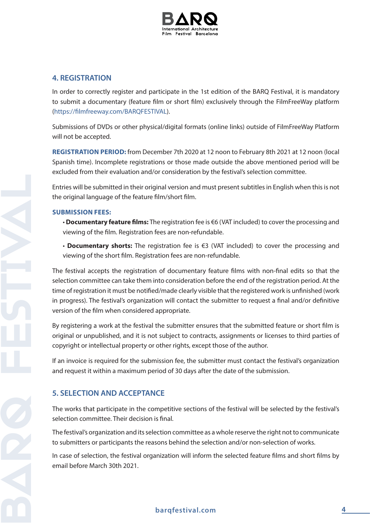

## **4. REGISTRATION**

In order to correctly register and participate in the 1st edition of the BARQ Festival, it is mandatory to submit a documentary (feature film or short film) exclusively through the FilmFreeWay platform (https://filmfreeway.com/BARQFESTIVAL).

Submissions of DVDs or other physical/digital formats (online links) outside of FilmFreeWay Platform will not be accepted.

**REGISTRATION PERIOD:** from December 7th 2020 at 12 noon to February 8th 2021 at 12 noon (local Spanish time). Incomplete registrations or those made outside the above mentioned period will be excluded from their evaluation and/or consideration by the festival's selection committee.

Entries will be submitted in their original version and must present subtitles in English when this is not the original language of the feature film/short film.

#### **SUBMISSION FEES:**

- • **Documentary feature films:** The registration fee is €6 (VAT included) to cover the processing and viewing of the film. Registration fees are non-refundable.
- • **Documentary shorts:** The registration fee is €3 (VAT included) to cover the processing and viewing of the short film. Registration fees are non-refundable.

The festival accepts the registration of documentary feature films with non-final edits so that the selection committee can take them into consideration before the end of the registration period. At the time of registration it must be notified/made clearly visible that the registered work is unfinished (work in progress). The festival's organization will contact the submitter to request a final and/or definitive version of the film when considered appropriate.

By registering a work at the festival the submitter ensures that the submitted feature or short film is original or unpublished, and it is not subject to contracts, assignments or licenses to third parties of copyright or intellectual property or other rights, except those of the author.

If an invoice is required for the submission fee, the submitter must contact the festival's organization and request it within a maximum period of 30 days after the date of the submission.

# **5. SELECTION AND ACCEPTANCE**

The works that participate in the competitive sections of the festival will be selected by the festival's selection committee. Their decision is final.

The festival's organization and its selection committee as a whole reserve the right not to communicate to submitters or participants the reasons behind the selection and/or non-selection of works.

In case of selection, the festival organization will inform the selected feature films and short films by email before March 30th 2021.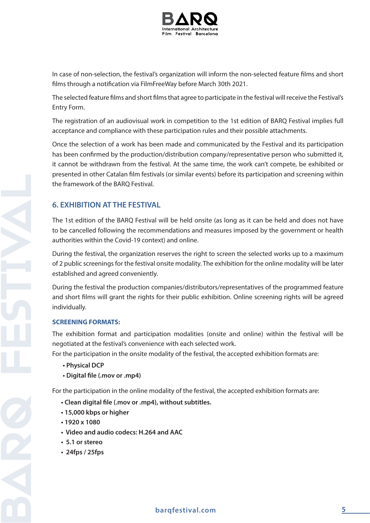

In case of non-selection, the festival's organization will inform the non-selected feature films and short films through a notification via FilmFreeWay before March 30th 2021.

The selected feature films and short films that agree to participate in the festival will receive the Festival's Entry Form.

The registration of an audiovisual work in competition to the 1st edition of BARQ Festival implies full acceptance and compliance with these participation rules and their possible attachments.

Once the selection of a work has been made and communicated by the Festival and its participation has been confirmed by the production/distribution company/representative person who submitted it, it cannot be withdrawn from the festival. At the same time, the work can't compete, be exhibited or presented in other Catalan film festivals (or similar events) before its participation and screening within the framework of the BARQ Festival.

# **6. EXHIBITION AT THE FESTIVAL**

The 1st edition of the BARQ Festival will be held onsite (as long as it can be held and does not have to be cancelled following the recommendations and measures imposed by the government or health authorities within the Covid-19 context) and online.

During the festival, the organization reserves the right to screen the selected works up to a maximum of 2 public screenings for the festival onsite modality. The exhibition for the online modality will be later established and agreed conveniently.

During the festival the production companies/distributors/representatives of the programmed feature and short films will grant the rights for their public exhibition. Online screening rights will be agreed individually.

#### **SCREENING FORMATS:**

The exhibition format and participation modalities (onsite and online) within the festival will be negotiated at the festival's convenience with each selected work.

For the participation in the onsite modality of the festival, the accepted exhibition formats are:

- **Physical DCP**
- **Digital file (.mov or .mp4)**

For the participation in the online modality of the festival, the accepted exhibition formats are:

- **Clean digital file (.mov or .mp4), without subtitles.**
- **15,000 kbps or higher**
- **1920 x 1080**
- **Video and audio codecs: H.264 and AAC**
- **5.1 or stereo**
- **24fps / 25fps**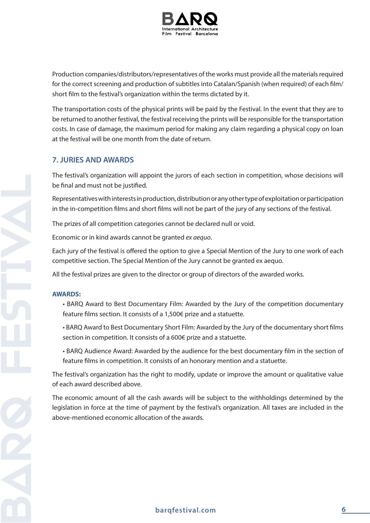

Production companies/distributors/representatives of the works must provide all the materials required for the correct screening and production of subtitles into Catalan/Spanish (when required) of each film/ short film to the festival's organization within the terms dictated by it.

The transportation costs of the physical prints will be paid by the Festival. In the event that they are to be returned to another festival, the festival receiving the prints will be responsible for the transportation costs. In case of damage, the maximum period for making any claim regarding a physical copy on loan at the festival will be one month from the date of return.

### **7. JURIES AND AWARDS**

The festival's organization will appoint the jurors of each section in competition, whose decisions will be final and must not be justified.

Representatives with interests in production, distribution or any other type of exploitation or participation in the in-competition films and short films will not be part of the jury of any sections of the festival.

The prizes of all competition categories cannot be declared null or void.

Economic or in kind awards cannot be granted *ex aequo*.

Each jury of the festival is offered the option to give a Special Mention of the Jury to one work of each competitive section. The Special Mention of the Jury cannot be granted ex aequo.

All the festival prizes are given to the director or group of directors of the awarded works.

#### **AWARDS:**

- BARQ Award to Best Documentary Film: Awarded by the Jury of the competition documentary feature films section. It consists of a 1,500€ prize and a statuette.
- BARQ Award to Best Documentary Short Film: Awarded by the Jury of the documentary short films section in competition. It consists of a 600€ prize and a statuette.
- BARQ Audience Award: Awarded by the audience for the best documentary film in the section of feature films in competition. It consists of an honorary mention and a statuette.

The festival's organization has the right to modify, update or improve the amount or qualitative value of each award described above.

The economic amount of all the cash awards will be subject to the withholdings determined by the legislation in force at the time of payment by the festival's organization. All taxes are included in the above-mentioned economic allocation of the awards.